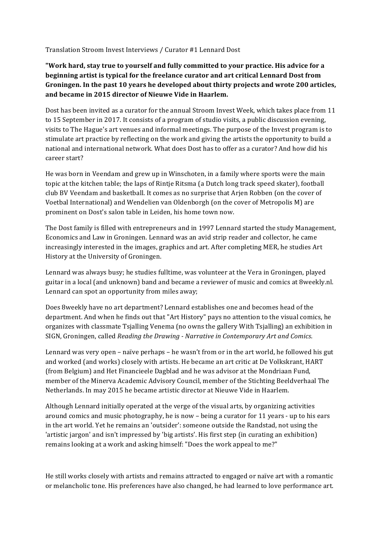## Translation Stroom Invest Interviews / Curator #1 Lennard Dost

## "Work hard, stay true to yourself and fully committed to your practice. His advice for a **beginning artist is typical for the freelance curator and art critical Lennard Dost from** Groningen. In the past 10 years he developed about thirty projects and wrote 200 articles, and became in 2015 director of Nieuwe Vide in Haarlem.

Dost has been invited as a curator for the annual Stroom Invest Week, which takes place from 11 to 15 September in 2017. It consists of a program of studio visits, a public discussion evening, visits to The Hague's art venues and informal meetings. The purpose of the Invest program is to stimulate art practice by reflecting on the work and giving the artists the opportunity to build a national and international network. What does Dost has to offer as a curator? And how did his career start?

He was born in Veendam and grew up in Winschoten, in a family where sports were the main topic at the kitchen table; the laps of Rintje Ritsma (a Dutch long track speed skater), football club BV Veendam and basketball. It comes as no surprise that Arjen Robben (on the cover of Voetbal International) and Wendelien van Oldenborgh (on the cover of Metropolis M) are prominent on Dost's salon table in Leiden, his home town now.

The Dost family is filled with entrepreneurs and in 1997 Lennard started the study Management, Economics and Law in Groningen. Lennard was an avid strip reader and collector, he came increasingly interested in the images, graphics and art. After completing MER, he studies Art History at the University of Groningen.

Lennard was always busy; he studies fulltime, was volunteer at the Vera in Groningen, played guitar in a local (and unknown) band and became a reviewer of music and comics at 8weekly.nl. Lennard can spot an opportunity from miles away;

Does 8weekly have no art department? Lennard establishes one and becomes head of the department. And when he finds out that "Art History" pays no attention to the visual comics, he organizes with classmate Tsjalling Venema (no owns the gallery With Tsjalling) an exhibition in SIGN, Groningen, called *Reading the Drawing - Narrative in Contemporary Art and Comics.* 

Lennard was very open - naïve perhaps - he wasn't from or in the art world, he followed his gut and worked (and works) closely with artists. He became an art critic at De Volkskrant, HART (from Belgium) and Het Financieele Dagblad and he was advisor at the Mondriaan Fund, member of the Minerva Academic Advisory Council, member of the Stichting Beeldverhaal The Netherlands. In may 2015 he became artistic director at Nieuwe Vide in Haarlem.

Although Lennard initially operated at the verge of the visual arts, by organizing activities around comics and music photography, he is now – being a curator for 11 years - up to his ears in the art world. Yet he remains an 'outsider': someone outside the Randstad, not using the 'artistic jargon' and isn't impressed by 'big artists'. His first step (in curating an exhibition) remains looking at a work and asking himself: "Does the work appeal to me?"

He still works closely with artists and remains attracted to engaged or naïve art with a romantic or melancholic tone. His preferences have also changed, he had learned to love performance art.